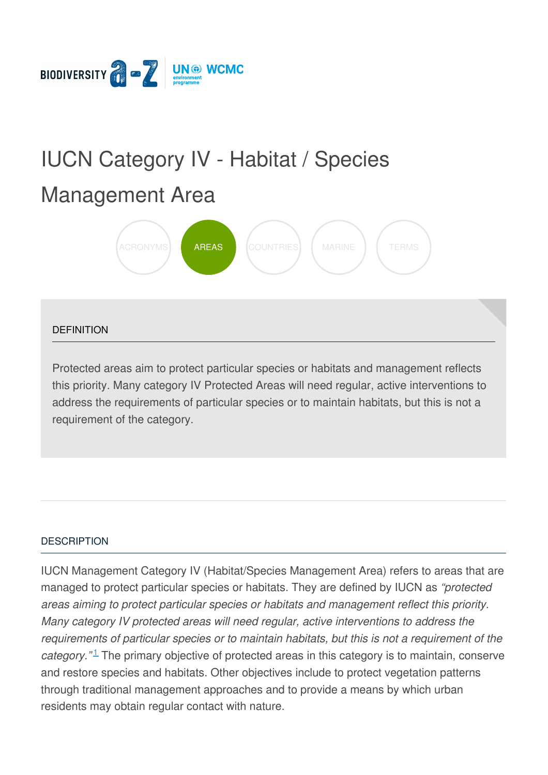

# IUCN Category IV - Habitat / Species

# [Management](https://biodiversitya-z.org/content/iucn-category-iv-habitat-species-management-area) Area



#### **DEFINITION**

Protected areas aim to protect particular species or habitats and management reflects this priority. Many category IV Protected Areas will need regular, active interventions to address the requirements of particular species or to maintain habitats, but this is not a requirement of the category.

#### **[DESCRIPTION](javascript:void(0))**

IUCN Management Category IV (Habitat/Species Management Area) refers to areas that are managed to protect particular species or habitats. They are defined by IUCN as *"protected areas aiming to protect particular species or habitats and management reflect this priority. Many category IV protected areas will need regular, active interventions to address the requirements of particular species or to maintain habitats, but this is not a requirement of the* category."<sup>1</sup> The primary objective of protected areas in this category is to maintain, co[nserve](file:///tmp/.page-wrap.with-gradient) and restore species and habitats. Other objectives include to protect vegetation patterns through traditional management approaches and to provide a means by which urban residents may obtain regular contact with nature.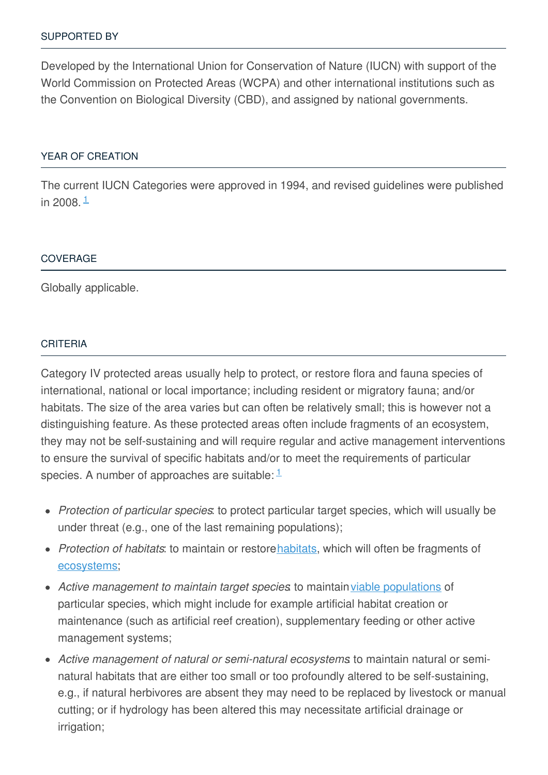Developed by the International Union for Conservation of Nature (IUCN) with support of the World Commission on Protected Areas (WCPA) and other international institutions such as the Convention on Biological Diversity (CBD), and assigned by national governments.

#### YEAR OF [CREATION](javascript:void(0))

The current IUCN Categories were approved in 1994, and revised guidelines were published in 2008. <sup>[1](#page-3-0)</sup>

#### **[COVERAGE](javascript:void(0))**

Globally applicable.

#### [CRITERIA](javascript:void(0))

Category IV protected areas usually help to protect, or restore flora and fauna species of international, national or local importance; including resident or migratory fauna; and/or habitats. The size of the area varies but can often be relatively small; this is however not a distinguishing feature. As these protected areas often include fragments of an ecosystem, they may not be self-sustaining and will require regular and active management interventions to ensure the survival of specific habitats and/or to meet the requirements of particular species. A number of approaches are suitable:  $1/2$  $1/2$ 

- *Protection of particular species*: to protect particular target species, which will usually be under threat (e.g., one of the last remaining populations);
- *Protection of habitats*: to maintain or restore[habitats](http://biodiversitya-z.org/content/habitat), which will often be fragments of [ecosystems](http://biodiversitya-z.org/content/ecosystem);
- Active management to maintain target species to maintain viable [populations](http://biodiversitya-z.org/content/viable-population) of particular species, which might include for example artificial habitat creation or maintenance (such as artificial reef creation), supplementary feeding or other active management systems;
- *Active management of natural or semi-natural ecosystems*: to maintain natural or seminatural habitats that are either too small or too profoundly altered to be self-sustaining, e.g., if natural herbivores are absent they may need to be replaced by livestock or manual cutting; or if hydrology has been altered this may necessitate artificial drainage or irrigation;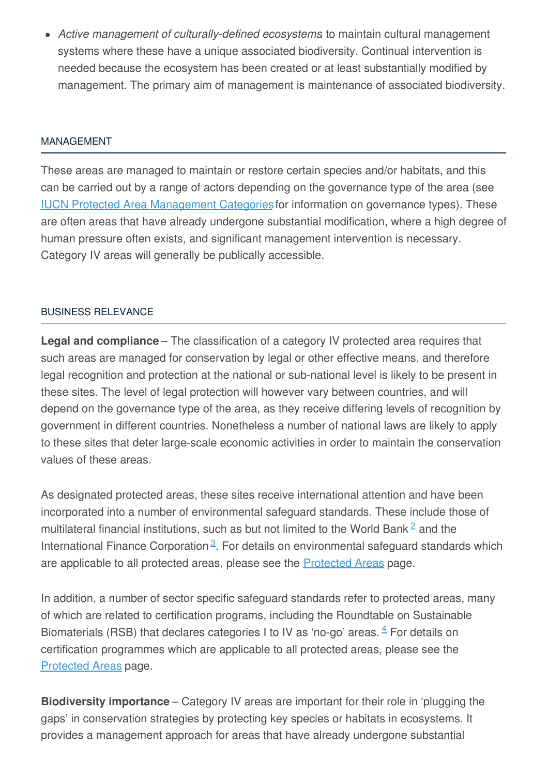*Active management of culturally-defined ecosystems*: to maintain cultural management systems where these have a unique associated biodiversity. Continual intervention is needed because the ecosystem has been created or at least substantially modified by management. The primary aim of management is maintenance of associated biodiversity.

#### [MANAGEMENT](javascript:void(0))

These areas are managed to maintain or restore certain species and/or habitats, and this can be carried out by a range of actors depending on the governance type of the area (see IUCN Protected Area [Management](http://biodiversitya-z.org/content/iucn-protected-area-management-categories) Categoriesfor information on governance types). These are often areas that have already undergone substantial modification, where a high degree of human pressure often exists, and significant management intervention is necessary. Category IV areas will generally be publically accessible.

#### BUSINESS [RELEVANCE](javascript:void(0))

**Legal and compliance** – The classification of a category IV protected area requires that such areas are managed for conservation by legal or other effective means, and therefore legal recognition and protection at the national or sub-national level is likely to be present in these sites. The level of legal protection will however vary between countries, and will depend on the governance type of the area, as they receive differing levels of recognition by government in different countries. Nonetheless a number of national laws are likely to apply to these sites that deter large-scale economic activities in order to maintain the conservation values of these areas.

As designated protected areas, these sites receive international attention and have been incorporated into a number of environmental safeguard standards. These include those of multilateral financial institutions, such as but not limited to the World Bank  $\triangleq$  and the International Finance Corporation<sup>[3](#page-3-2)</sup>. For details on environmental safeguard standards which are applicable to all protected areas, please see the [Protected](http://biodiversitya-z.org/content/protected-areas) Areas page.

In addition, a number of sector specific safeguard standards refer to protected areas, many of which are related to certification programs, including the Roundtable on Sustainable Biomaterials (RSB) that declares categories I to IV as 'no-go' areas.  $4$  For details on certification programmes which are applicable to all protected areas, please see the [Protected](http://biodiversitya-z.org/content/protected-areas) Areas page.

**Biodiversity importance** – Category IV areas are important for their role in 'plugging the gaps' in conservation strategies by protecting key species or habitats in ecosystems. It provides a management approach for areas that have already undergone substantial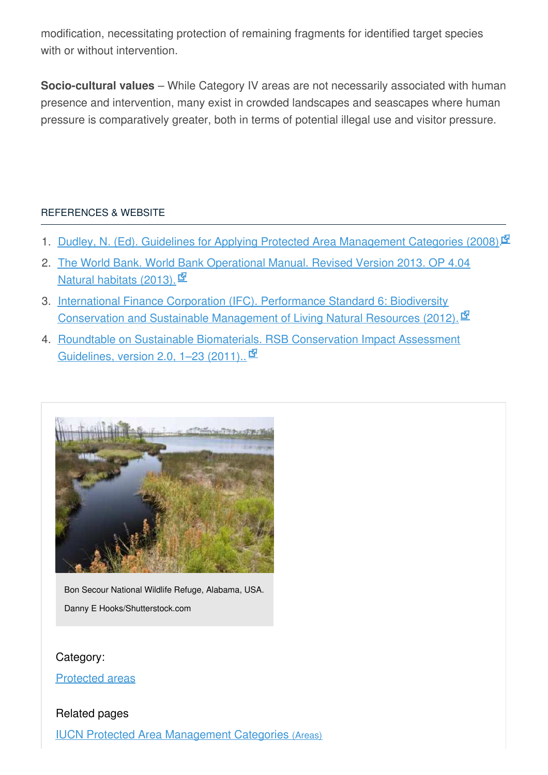modification, necessitating protection of remaining fragments for identified target species with or without intervention.

**Socio-cultural values** – While Category IV areas are not necessarily associated with human presence and intervention, many exist in crowded landscapes and seascapes where human pressure is comparatively greater, both in terms of potential illegal use and visitor pressure.

## [REFERENCES](javascript:void(0)) & WEBSITE

- <span id="page-3-0"></span>1. Dudley, N. (Ed). Guidelines for Applying Protected Area [Management](http://data.iucn.org/dbtw-wpd/edocs/PAPS-016.pdf) Categories (2008).<sup>[57]</sup>
- <span id="page-3-1"></span>2. The World Bank. World Bank [Operational](http://web.worldbank.org/WBSITE/EXTERNAL/PROJECTS/EXTPOLICIES/EXTOPMANUAL/0,,contentMDK:20064757~menuPK:4564185~pagePK:64709096~piPK:64709108~theSitePK:502184,00.html) Manual. Revised Version 2013. OP 4.04 Natural habitats  $(2013)$ .  $\mathbb{Z}$
- <span id="page-3-2"></span>3. International Finance Corporation (IFC). Performance Standard 6: Biodiversity [Conservation](http://www.ifc.org/wps/wcm/connect/bff0a28049a790d6b835faa8c6a8312a/PS6_English_2012.pdf?MOD=AJPERES) and Sustainable Management of Living Natural Resources (2012).
- <span id="page-3-3"></span>4. Roundtable on Sustainable Biomaterials. RSB [Conservation](http://rsb.org/pdfs/guidelines/11-02-21-RSB-GUI-01-007-01-(RSB-Conservation-Impact-Assessment-Guidelines).pdf) Impact Assessment Guidelines, version 2.0, 1-23 (2011)..<sup>.</sup>



Bon Secour National Wildlife Refuge, Alabama, USA. Danny E Hooks/Shutterstock.com

Category:

[Protected](https://biodiversitya-z.org/themes/areas?category_id=30) areas

Related pages

IUCN Protected Area [Management](file:///content/iucn-protected-area-management-categories) Categories (Areas)